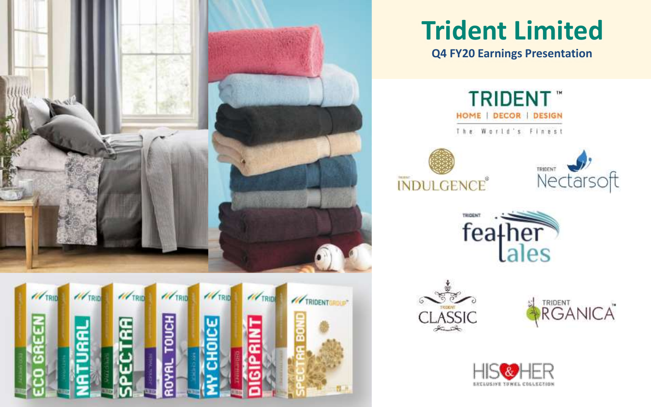

# **Trident Limited**

**Q4 FY20 Earnings Presentation**













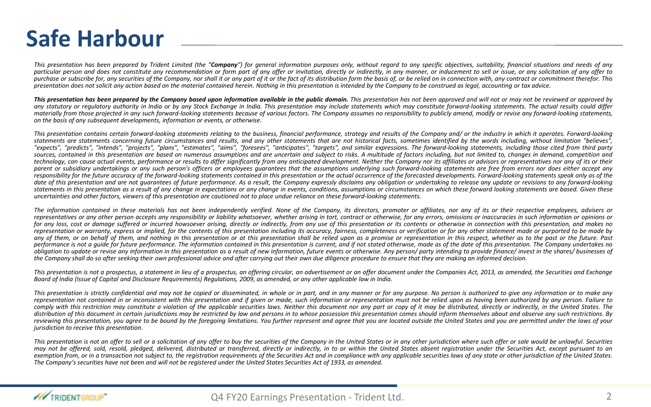### **Safe Harbour**

This presentation has been prepared by Trident Limited (the "Company") for general information purposes only, without regard to any specific objectives, suitability, financial situations and needs of any particular person and does not constitute any recommendation or form part of any offer or invitation, directly or indirectly, in any manner, or inducement to sell or issue, or any solicitation of any offer to purchase or subscribe for, any securities of the Company, nor shall it or any part of it or the fact of its distribution form the basis of, or be relied on in connection with, any contract or commitment therefor. This presentation does not solicit any action based on the material contained herein. Nothing in this presentation is intended by the Company to be construed as legal, accounting or tax advice.

This presentation has been prepared by the Company based upon information available in the public domain. This presentation has not been approved and will not or may not be reviewed or approved by any statutory or requlatory authority in India or by any Stock Exchange in India. This presentation may include statements which may constitute forward-looking statements. The actual results could differ materially from those projected in any such forward-looking statements because of various factors. The Company assumes no responsibility to publicly amend, modify or revise any forward-looking statements, *on the basis of any subsequent developments, information or events, or otherwise.*

This presentation contains certain forward-lookina statements relatina to the business, financial performance, strateay and results of the Company and/ or the industry in which it operates. Forward-lookina statements are statements concerning future circumstances and results, and any other statements that are not historical facts, sometimes identified by the words including, without limitation "believes". "expects", "predicts", "intends", "projects", "plans", "estimates", "aims", "foresees", "anticipates", "targets", and similar expressions. The forward-looking statements, including those cited from third party sources, contained in this presentation are based on numerous assumptions and are uncertain and subject to risks. A multitude of factors including, but not limited to, changes in demand, competition and technology, can cause actual events, performance or results to differ significantly from any anticipated development. Neither the Company nor its affiliates or advisors or representatives nor any of its or their parent or subsidiary undertakings or any such person's officers or employees quarantees that the assumptions underlying such forward-looking statements are free from errors nor does either accept any responsibility for the future accuracy of the forward-looking statements contained in this presentation or the actual occurrence of the forecasted developments. Forward-looking statements speak only as of the date of this presentation and are not augrantees of future performance. As a result, the Company expressly disclaims any obligation or undertaking to release any update or revisions to any forward-looking statements in this presentation as a result of any change in expectations or any change in events, conditions, assumptions or circumstances on which these forward looking statements are based. Given these uncertainties and other factors, viewers of this presentation are cautioned not to place undue reliance on these forward-looking statements.

The information contained in these materials has not been independently verified. None of the Company, its directors, promoter or affiliates, nor any of its or their respective employees, advisers or representatives or any other person accepts any responsibility or liability whatsoever, whether arising in tort, contract or otherwise, for any errors, omissions or inaccuracies in such information or opinions or for any loss, cost or damage suffered or incurred howsoever arising, directly or indirectly, from any use of this presentation or its contents or otherwise in connection with this presentation, and makes no representation or warranty, express or implied, for the contents of this presentation includina its accuracy, fairness, completeness or verification or for any other statement made or purported to be made by any of them, or on behalf of them, and nothing in this presentation or at this presentation shall be relied upon as a promise or representation in this respect, whether as to the past or the future. Past performance is not a quide for future performance. The information contained in this presentation is current, and if not stated otherwise, made as of the date of this presentation. The Company undertakes no obligation to update or revise any information in this presentation as a result of new information, future events or otherwise. Any person/party intending to provide finance/invest in the shares/businesses of the Company shall do so after seeking their own professional advice and after carrying out their own due diligence procedure to ensure that they are making an informed decision.

This presentation is not a prospectus, a statement in lieu of a prospectus, an offering circular, an advertisement or an offer document under the Companies Act, 2013, as amended, the Securities and Exchange Board of India (Issue of Capital and Disclosure Requirements) Requlations, 2009, as amended, or any other applicable law in India.

This presentation is strictly confidential and may not be copied or disseminated, in whole or in part, and in any manner or for any purpose. No person is authorized to give any information or to make any representation not contained in or inconsistent with this presentation and if given or made, such information or representation must not be relied upon as having been authorized by any person. Failure to comply with this restriction may constitute a violation of the applicable securities laws. Neither this document nor any part or copy of it may be distributed, directly or indirectly, in the United States. The distribution of this document in certain jurisdictions may be restricted by law and persons in to whose possession this presentation comes should inform themselves about and observe any such restrictions. By reviewing this presentation, you garee to be bound by the foregoing limitations. You further represent and garee that you are located outside the United States and you are permitted under the laws of your *jurisdiction to receive this presentation.*

This presentation is not an offer to sell or a solicitation of any offer to buy the securities of the Company in the United States or in any other jurisdiction where such offer or sale would be unlawful. Securities may not be offered, sold, resold, pledaed, delivered, distributed or transferred, directly or indirectly, in to or within the United States absent registration under the Securities Act, except pursuant to an exemption from or in a transaction not subject to, the registration requirements of the Securities Act and in compliance with any applicable securities laws of any state or other jurisdiction of the United States. The Company's securities have not been and will not be registered under the United States Securities Act of 1933, as amended.

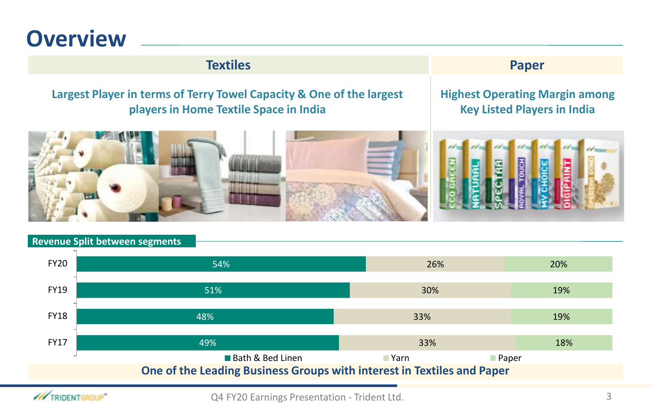### **Overview**

#### **Textiles Paper**

#### **Largest Player in terms of Terry Towel Capacity & One of the largest players in Home Textile Space in India**

#### **Highest Operating Margin among Key Listed Players in India**



#### **Revenue Split between segments**



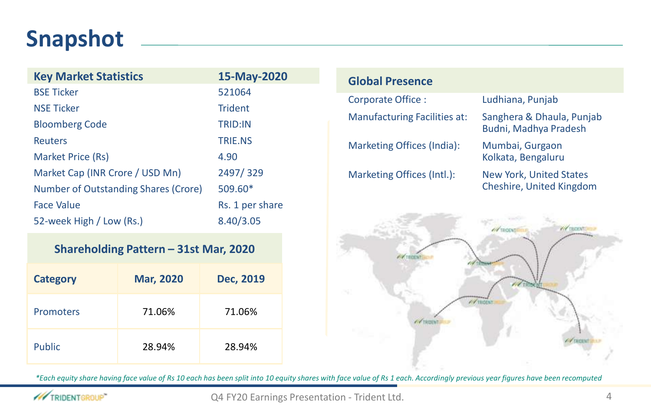## **Snapshot**

| <b>Key Market Statistics</b>         | 15-May-2020     |
|--------------------------------------|-----------------|
| <b>BSE Ticker</b>                    | 521064          |
| <b>NSE Ticker</b>                    | <b>Trident</b>  |
| <b>Bloomberg Code</b>                | <b>TRID:IN</b>  |
| <b>Reuters</b>                       | <b>TRIF.NS</b>  |
| Market Price (Rs)                    | 4.90            |
| Market Cap (INR Crore / USD Mn)      | 2497/329        |
| Number of Outstanding Shares (Crore) | 509.60*         |
| <b>Face Value</b>                    | Rs. 1 per share |
| 52-week High / Low (Rs.)             | 8.40/3.05       |

#### **Shareholding Pattern – 31st Mar, 2020**

| <b>Category</b> | <b>Mar, 2020</b> | Dec, 2019 |
|-----------------|------------------|-----------|
| Promoters       | 71.06%           | 71.06%    |
| Public          | 28.94%           | 28.94%    |

### **Global Presence** Corporate Office : Ludhiana, Punjab Manufacturing Facilities at: Sanghera & Dhaula, Punjab Budni, Madhya Pradesh Marketing Offices (India): Mumbai, Gurgaon Kolkata, Bengaluru Marketing Offices (Intl.): New York, United States Cheshire, United Kingdom



*\*Each equity share having face value of Rs 10 each has been split into 10 equity shares with face value of Rs 1 each. Accordingly previous year figures have been recomputed* 

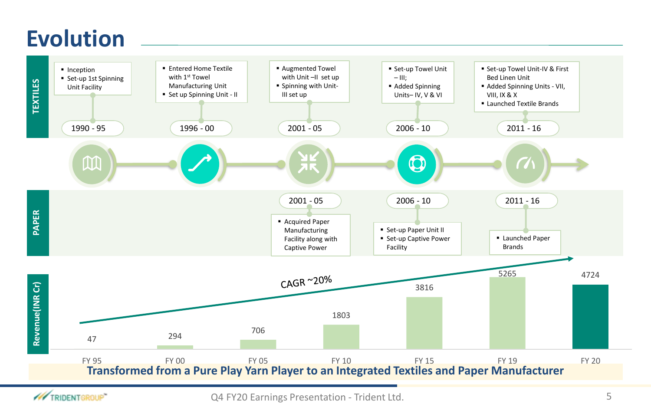### **Evolution**



/// TRIDENTGROUP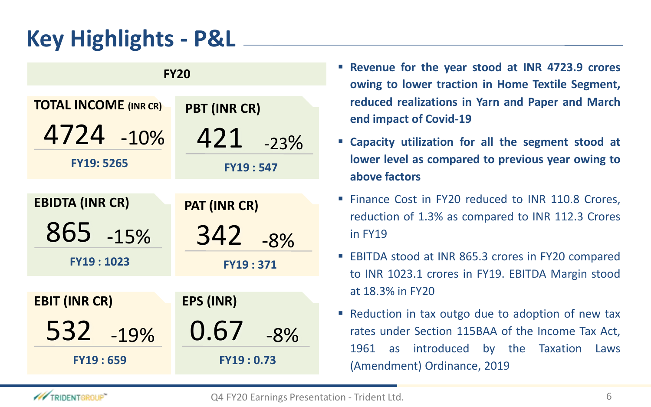# **Key Highlights - P&L**

| <b>FY20</b>                  |                     |  |  |  |  |
|------------------------------|---------------------|--|--|--|--|
| <b>TOTAL INCOME (INR CR)</b> | <b>PBT (INR CR)</b> |  |  |  |  |
| 4724 -10%                    | 421<br>$-23%$       |  |  |  |  |
| <b>FY19: 5265</b>            | <b>FY19:547</b>     |  |  |  |  |
|                              |                     |  |  |  |  |
| <b>EBIDTA (INR CR)</b>       | <b>PAT (INR CR)</b> |  |  |  |  |
| 865 -15%                     | 342 -8%             |  |  |  |  |
| FY19:1023                    | <b>FY19:371</b>     |  |  |  |  |
|                              |                     |  |  |  |  |
| <b>EBIT (INR CR)</b>         | <b>EPS (INR)</b>    |  |  |  |  |
| 532 -19%                     | 0.67<br>$-8%$       |  |  |  |  |
| <b>FY19:659</b>              | <b>FY19:0.73</b>    |  |  |  |  |

- **Revenue for the year stood at INR 4723.9 crores owing to lower traction in Home Textile Segment, reduced realizations in Yarn and Paper and March end impact of Covid-19**
- **Capacity utilization for all the segment stood at lower level as compared to previous year owing to above factors**
- Finance Cost in FY20 reduced to INR 110.8 Crores, reduction of 1.3% as compared to INR 112.3 Crores in FY19
- EBITDA stood at INR 865.3 crores in FY20 compared to INR 1023.1 crores in FY19. EBITDA Margin stood at 18.3% in FY20
- Reduction in tax outgo due to adoption of new tax rates under Section 115BAA of the Income Tax Act, 1961 as introduced by the Taxation Laws (Amendment) Ordinance, 2019

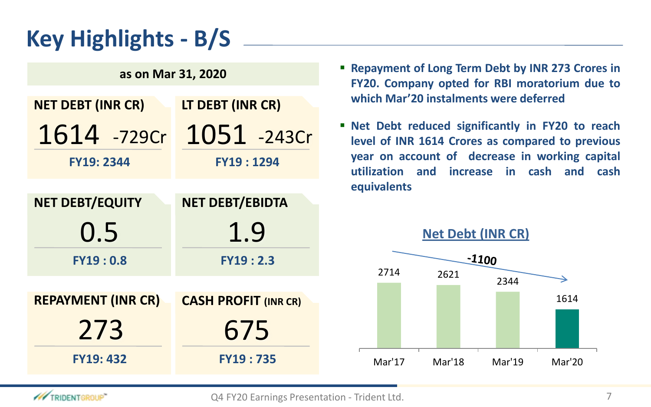# **Key Highlights - B/S**

| as on Mar 31, 2020        |                             |  |  |  |
|---------------------------|-----------------------------|--|--|--|
| <b>NET DEBT (INR CR)</b>  | LT DEBT (INR CR)            |  |  |  |
| 1614 -729Cr               | 1051 -243Cr                 |  |  |  |
| <b>FY19: 2344</b>         | <b>FY19:1294</b>            |  |  |  |
|                           |                             |  |  |  |
| <b>NET DEBT/EQUITY</b>    | <b>NET DEBT/EBIDTA</b>      |  |  |  |
|                           |                             |  |  |  |
| 0.5                       | 1.9                         |  |  |  |
| FY19:0.8                  | FY19:2.3                    |  |  |  |
|                           |                             |  |  |  |
| <b>REPAYMENT (INR CR)</b> | <b>CASH PROFIT (INR CR)</b> |  |  |  |
| 273                       | 675                         |  |  |  |

- **Repayment of Long Term Debt by INR 273 Crores in FY20. Company opted for RBI moratorium due to which Mar'20 instalments were deferred**
- **Net Debt reduced significantly in FY20 to reach level of INR 1614 Crores as compared to previous year on account of decrease in working capital utilization and increase in cash and cash equivalents**



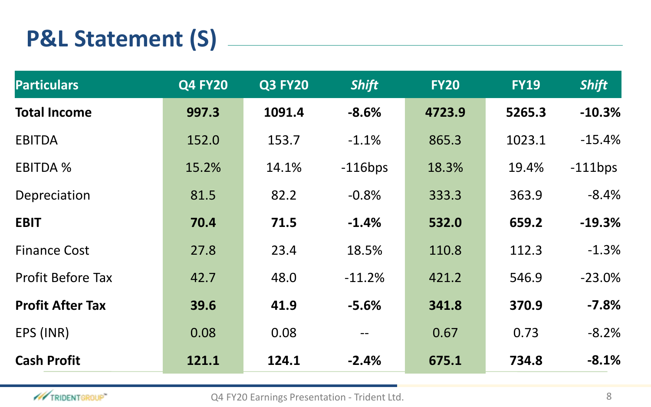# **P&L Statement (S)**

| <b>Particulars</b>       | <b>Q4 FY20</b> | <b>Q3 FY20</b> | <b>Shift</b> | <b>FY20</b> | <b>FY19</b> | <b>Shift</b> |
|--------------------------|----------------|----------------|--------------|-------------|-------------|--------------|
| <b>Total Income</b>      | 997.3          | 1091.4         | $-8.6%$      | 4723.9      | 5265.3      | $-10.3%$     |
| <b>EBITDA</b>            | 152.0          | 153.7          | $-1.1%$      | 865.3       | 1023.1      | $-15.4%$     |
| <b>EBITDA %</b>          | 15.2%          | 14.1%          | $-116bps$    | 18.3%       | 19.4%       | $-111$ bps   |
| Depreciation             | 81.5           | 82.2           | $-0.8%$      | 333.3       | 363.9       | $-8.4%$      |
| <b>EBIT</b>              | 70.4           | 71.5           | $-1.4%$      | 532.0       | 659.2       | $-19.3%$     |
| <b>Finance Cost</b>      | 27.8           | 23.4           | 18.5%        | 110.8       | 112.3       | $-1.3%$      |
| <b>Profit Before Tax</b> | 42.7           | 48.0           | $-11.2%$     | 421.2       | 546.9       | $-23.0%$     |
| <b>Profit After Tax</b>  | 39.6           | 41.9           | $-5.6%$      | 341.8       | 370.9       | $-7.8%$      |
| EPS (INR)                | 0.08           | 0.08           |              | 0.67        | 0.73        | $-8.2%$      |
| <b>Cash Profit</b>       | 121.1          | 124.1          | $-2.4%$      | 675.1       | 734.8       | $-8.1%$      |



Q4 FY20 Earnings Presentation - Trident Ltd. 68 and 2011 12:30 and 2012 12:30 and 2013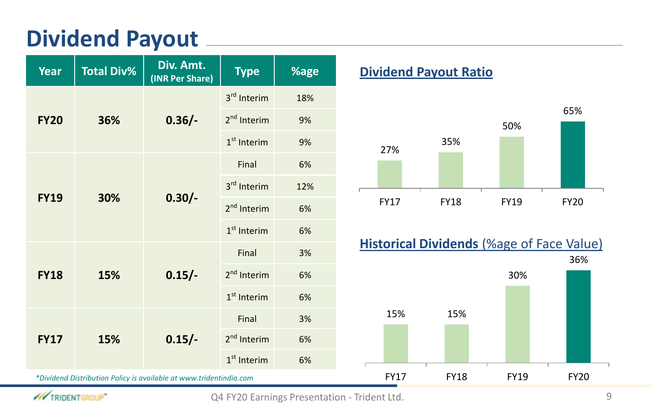### **Dividend Payout**

| <b>Year</b>                                                        | <b>Total Div%</b> | Div. Amt.<br>(INR Per Share) | <b>Type</b>             |     |  |
|--------------------------------------------------------------------|-------------------|------------------------------|-------------------------|-----|--|
|                                                                    |                   |                              | 3 <sup>rd</sup> Interim | 18% |  |
| <b>FY20</b>                                                        | 36%               | $0.36/-$                     | 2 <sup>nd</sup> Interim | 9%  |  |
|                                                                    |                   |                              | $1st$ Interim           | 9%  |  |
|                                                                    |                   |                              | Final                   | 6%  |  |
| <b>FY19</b>                                                        |                   |                              | 3 <sup>rd</sup> Interim | 12% |  |
|                                                                    | 30%               | $0.30/-$                     | 2 <sup>nd</sup> Interim | 6%  |  |
|                                                                    |                   |                              | $1st$ Interim           | 6%  |  |
|                                                                    |                   |                              | Final                   | 3%  |  |
| <b>FY18</b>                                                        | 15%               | $0.15/-$                     | 2 <sup>nd</sup> Interim | 6%  |  |
|                                                                    |                   |                              | $1st$ Interim           | 6%  |  |
|                                                                    | 15%               |                              | Final                   | 3%  |  |
| <b>FY17</b>                                                        |                   | $0.15/-$                     | 2 <sup>nd</sup> Interim | 6%  |  |
|                                                                    |                   |                              | $1st$ Interim           | 6%  |  |
| *Dividend Distribution Policy is available at www.tridentindia.com |                   |                              |                         |     |  |

### **<u>Dividend Payout Ratio</u>**





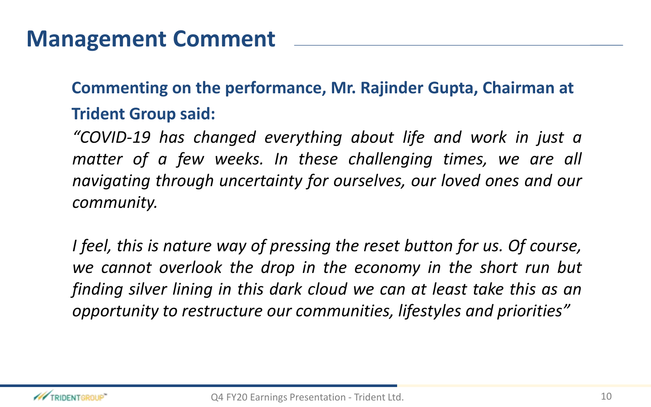### **Management Comment**

**Commenting on the performance, Mr. Rajinder Gupta, Chairman at Trident Group said:**

*"COVID-19 has changed everything about life and work in just a matter of a few weeks. In these challenging times, we are all navigating through uncertainty for ourselves, our loved ones and our community.*

*I feel, this is nature way of pressing the reset button for us. Of course, we cannot overlook the drop in the economy in the short run but finding silver lining in this dark cloud we can at least take this as an opportunity to restructure our communities, lifestyles and priorities"*

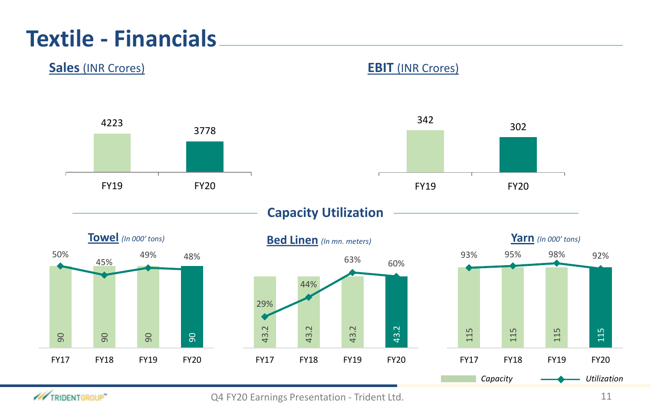## **Textile - Financials**



**W TRIDENTGROUP**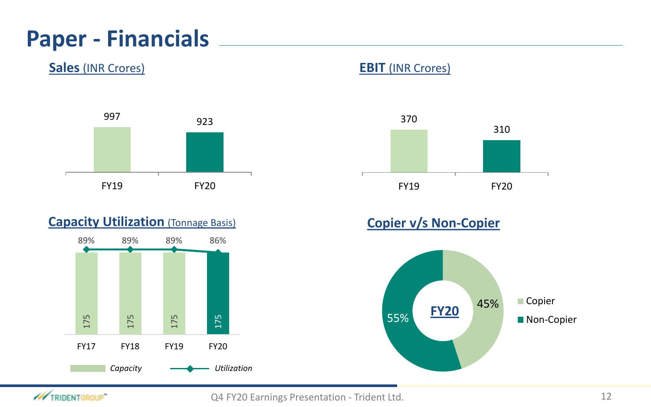### **Paper - Financials**

### **Sales** (INR Crores) **EBIT** (INR Crores)



### **Capacity Utilization (Tonnage Basis)**





### **Copier v/s Non-Copier**



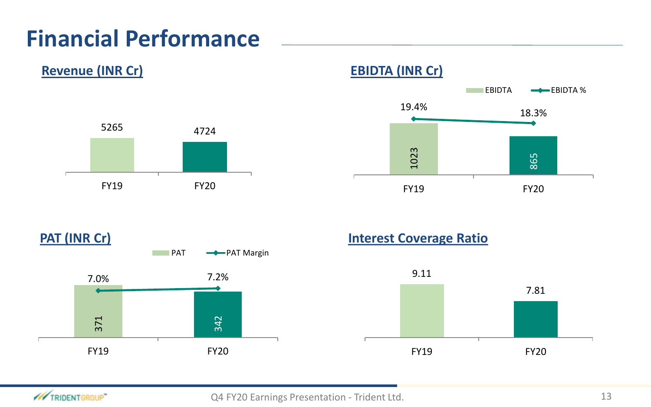# **Financial Performance**







#### **PAT (INR Cr) Interest Coverage Ratio**



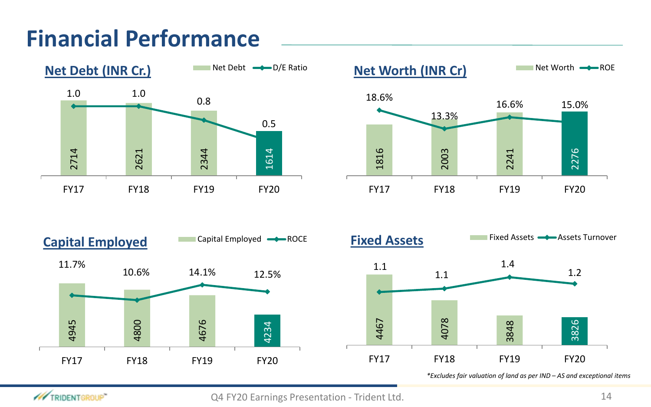# **Financial Performance**









*\*Excludes fair valuation of land as per IND – AS and exceptional items* 

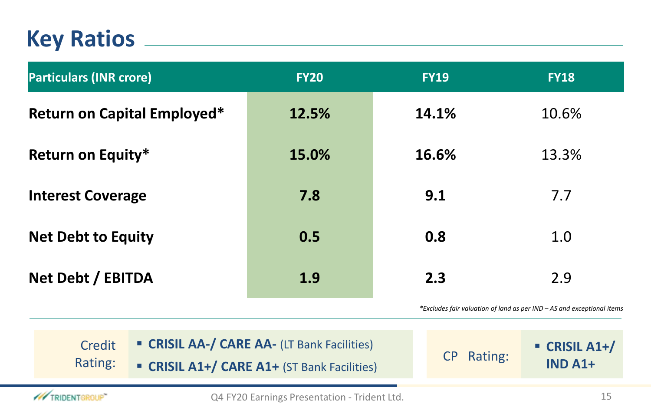### **Key Ratios**

| <b>Particulars (INR crore)</b>     | <b>FY20</b> | <b>FY19</b> | <b>FY18</b> |
|------------------------------------|-------------|-------------|-------------|
| <b>Return on Capital Employed*</b> | 12.5%       | 14.1%       | 10.6%       |
| <b>Return on Equity*</b>           | 15.0%       | 16.6%       | 13.3%       |
| <b>Interest Coverage</b>           | 7.8         | 9.1         | 7.7         |
| <b>Net Debt to Equity</b>          | 0.5         | 0.8         | 1.0         |
| Net Debt / EBITDA                  | 1.9         | 2.3         | 2.9         |
|                                    |             |             |             |

*\*Excludes fair valuation of land as per IND – AS and exceptional items*

| <b>Credit</b><br>Rating: | <b>CRISIL AA-/ CARE AA- (LT Bank Facilities)</b><br><b>CRISIL A1+/ CARE A1+ (ST Bank Facilities)</b> | CP Rating: | $\blacksquare$ CRISIL A1+/<br>$INDA1+$ |
|--------------------------|------------------------------------------------------------------------------------------------------|------------|----------------------------------------|
|                          |                                                                                                      |            |                                        |

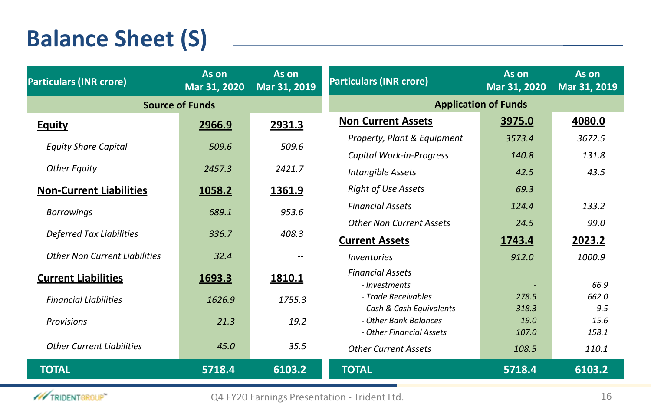# **Balance Sheet (S)**

/// TRIDENTGROUP

| <b>Particulars (INR crore)</b>       | As on<br>Mar 31, 2020 | As on<br>Mar 31, 2019 | <b>Particulars (INR crore)</b>                     | As on<br>Mar 31, 2020 | As on<br>Mar 31, 2019 |  |
|--------------------------------------|-----------------------|-----------------------|----------------------------------------------------|-----------------------|-----------------------|--|
| <b>Source of Funds</b>               |                       |                       | <b>Application of Funds</b>                        |                       |                       |  |
| <b>Equity</b>                        | 2966.9                | 2931.3                | <b>Non Current Assets</b>                          | 3975.0                | 4080.0                |  |
|                                      |                       |                       | Property, Plant & Equipment                        | 3573.4                | 3672.5                |  |
| <b>Equity Share Capital</b>          | 509.6                 | 509.6                 | Capital Work-in-Progress                           | 140.8                 | 131.8                 |  |
| <b>Other Equity</b>                  | 2457.3                | 2421.7                | <b>Intangible Assets</b>                           | 42.5                  | 43.5                  |  |
| <b>Non-Current Liabilities</b>       | 1058.2                | 1361.9                | <b>Right of Use Assets</b>                         | 69.3                  |                       |  |
| <b>Borrowings</b>                    | 689.1                 | 953.6                 | <b>Financial Assets</b>                            | 124.4                 | 133.2                 |  |
|                                      |                       |                       | <b>Other Non Current Assets</b>                    | 24.5                  | 99.0                  |  |
| <b>Deferred Tax Liabilities</b>      | 336.7                 | 408.3                 | <b>Current Assets</b>                              | 1743.4                | 2023.2                |  |
| <b>Other Non Current Liabilities</b> | 32.4                  |                       | Inventories                                        | 912.0                 | 1000.9                |  |
| <b>Current Liabilities</b>           | 1693.3                | 1810.1                | <b>Financial Assets</b><br>- Investments           |                       | 66.9                  |  |
| <b>Financial Liabilities</b>         | 1626.9                | 1755.3                | - Trade Receivables                                | 278.5                 | 662.0                 |  |
|                                      |                       |                       | - Cash & Cash Equivalents<br>- Other Bank Balances | 318.3<br>19.0         | 9.5<br>15.6           |  |
| Provisions                           | 21.3                  | 19.2                  | - Other Financial Assets                           | 107.0                 | 158.1                 |  |
| <b>Other Current Lighilities</b>     | 45.0                  | 35.5                  | <b>Other Current Assets</b>                        | 108.5                 | 110.1                 |  |
| <b>TOTAL</b>                         | 5718.4                | 6103.2                | <b>TOTAL</b>                                       | 5718.4                | 6103.2                |  |
|                                      |                       |                       |                                                    |                       |                       |  |